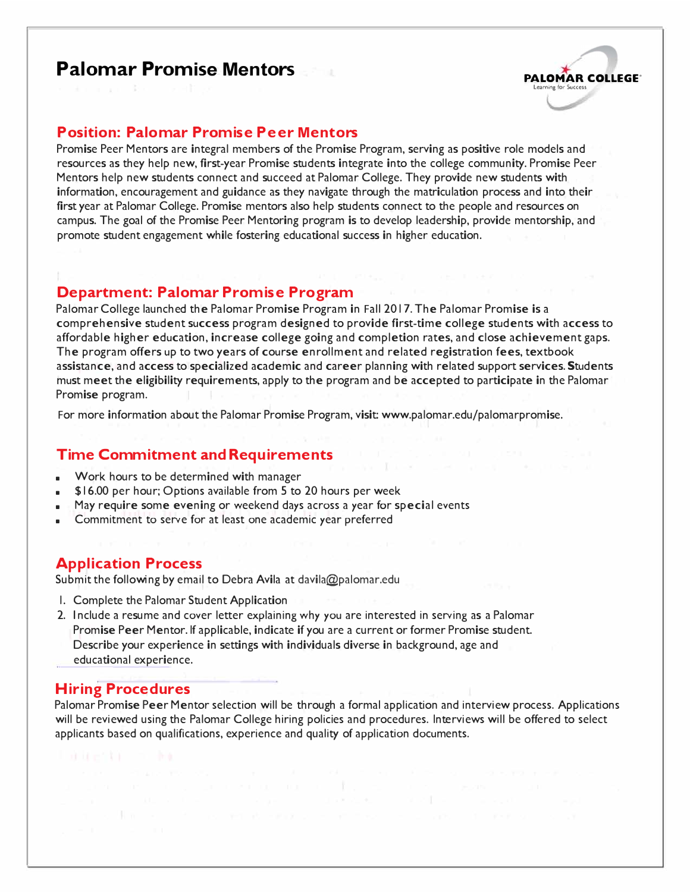# **Palomar Promise Mentors** *Palomar Promise Mentors*



#### **Position: Palomar Promise Peer Mentors**

Promise Peer Mentors are integral members of the Promise Program, serving as positive role models and resources as they help new, first-year Promise students integrate into the college community. Promise Peer Mentors help new students connect and succeed at Palomar College. They provide new students with information, encouragement and guidance as they navigate through the matriculation process and into their first year at Palomar College. Promise mentors also help students connect to the people and resources on campus. The goal of the Promise Peer Mentoring program is to develop leadership, provide mentorship, and promote student engagement while fostering educational success in higher education.

#### **Department: Palomar Promise Program**

Palomar College launched the Palomar Promise Program in Fall 2017. The Palomar Promise is a comprehensive student success program designed to provide first-time college students with access to affordable higher education, increase college going and completion rates, and close achievement gaps. The program offers up to two years of course enrollment and related registration fees, textbook assistance, and access to specialized academic and career planning with related support services. Students must meet the eligibility requirements, apply to the program and be accepted to participate in the Palomar Promise program.

For more information about the Palomar Promise Program, visit: www.palomar.edu/palomarpromise.

#### **Time Commitment and Requirements**

- Work hours to be determined with manager
- \$16.00 per hour; Options available from 5 to 20 hours per week
- May require some evening or weekend days across a year for special events
- Commitment to serve for at least one academic year preferred

#### **Application Process**

Submit the following by email to Debra Avila at davila@palomar.edu

- 1. Complete the [Palomar Student Application](https://www2.palomar.edu/pages/hr/files/2013/02/STU-STM-App-9-19-2019.pdf)
- 2. Include a resume and cover letter explaining why you are interested in serving as a Palomar Promise Peer Mentor. If applicable, indicate if you are a current or former Promise student. Describe your experience in settings with individuals diverse in background, age and educational experience.

#### **Hiring Procedures**

Palomar Promise Peer Mentor selection will be through a formal application and interview process. Applications will be reviewed using the Palomar College hiring policies and procedures. Interviews will be offered to select applicants based on qualifications, experience and quality of application documents.